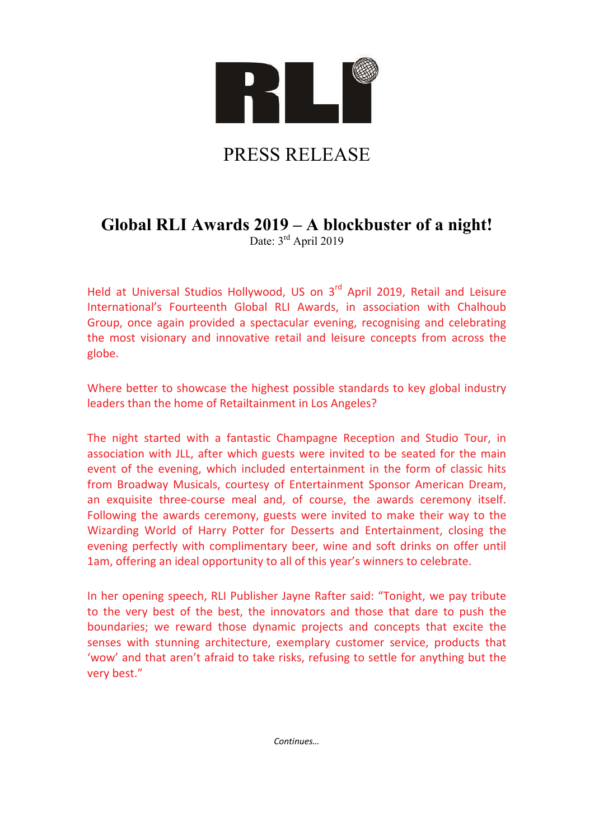

# PRESS RELEASE

# **Global RLI Awards 2019 – A blockbuster of a night!**

Date: 3<sup>rd</sup> April 2019

Held at Universal Studios Hollywood, US on 3<sup>rd</sup> April 2019, Retail and Leisure International's Fourteenth Global RLI Awards, in association with Chalhoub Group, once again provided a spectacular evening, recognising and celebrating the most visionary and innovative retail and leisure concepts from across the globe.

Where better to showcase the highest possible standards to key global industry leaders than the home of Retailtainment in Los Angeles?

The night started with a fantastic Champagne Reception and Studio Tour, in association with JLL, after which guests were invited to be seated for the main event of the evening, which included entertainment in the form of classic hits from Broadway Musicals, courtesy of Entertainment Sponsor American Dream, an exquisite three‐course meal and, of course, the awards ceremony itself. Following the awards ceremony, guests were invited to make their way to the Wizarding World of Harry Potter for Desserts and Entertainment, closing the evening perfectly with complimentary beer, wine and soft drinks on offer until 1am, offering an ideal opportunity to all of this year's winners to celebrate.

In her opening speech, RLI Publisher Jayne Rafter said: "Tonight, we pay tribute to the very best of the best, the innovators and those that dare to push the boundaries; we reward those dynamic projects and concepts that excite the senses with stunning architecture, exemplary customer service, products that 'wow' and that aren't afraid to take risks, refusing to settle for anything but the very best."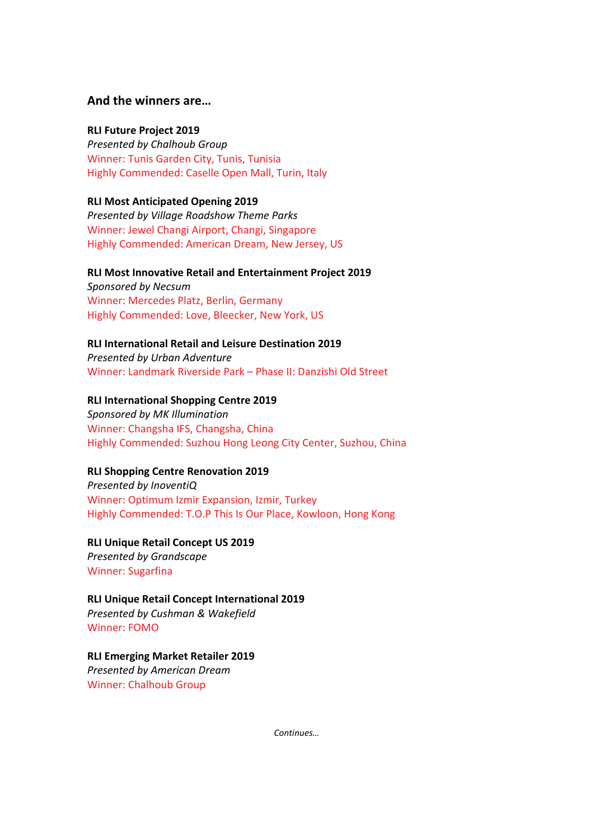#### **And the winners are…**

#### **RLI Future Project 2019**

*Presented by Chalhoub Group* Winner: Tunis Garden City, Tunis, Tunisia Highly Commended: Caselle Open Mall, Turin, Italy

#### **RLI Most Anticipated Opening 2019**

*Presented by Village Roadshow Theme Parks* Winner: Jewel Changi Airport, Changi, Singapore Highly Commended: American Dream, New Jersey, US

#### **RLI Most Innovative Retail and Entertainment Project 2019**

*Sponsored by Necsum* Winner: Mercedes Platz, Berlin, Germany Highly Commended: Love, Bleecker, New York, US

#### **RLI International Retail and Leisure Destination 2019**

*Presented by Urban Adventure* Winner: Landmark Riverside Park – Phase II: Danzishi Old Street

#### **RLI International Shopping Centre 2019**

*Sponsored by MK Illumination* Winner: Changsha IFS, Changsha, China Highly Commended: Suzhou Hong Leong City Center, Suzhou, China

#### **RLI Shopping Centre Renovation 2019**

*Presented by InoventiQ* Winner: Optimum Izmir Expansion, Izmir, Turkey Highly Commended: T.O.P This Is Our Place, Kowloon, Hong Kong

#### **RLI Unique Retail Concept US 2019**

*Presented by Grandscape* Winner: Sugarfina

#### **RLI Unique Retail Concept International 2019**

*Presented by Cushman & Wakefield* Winner: FOMO

#### **RLI Emerging Market Retailer 2019**

*Presented by American Dream* Winner: Chalhoub Group

*Continues…*